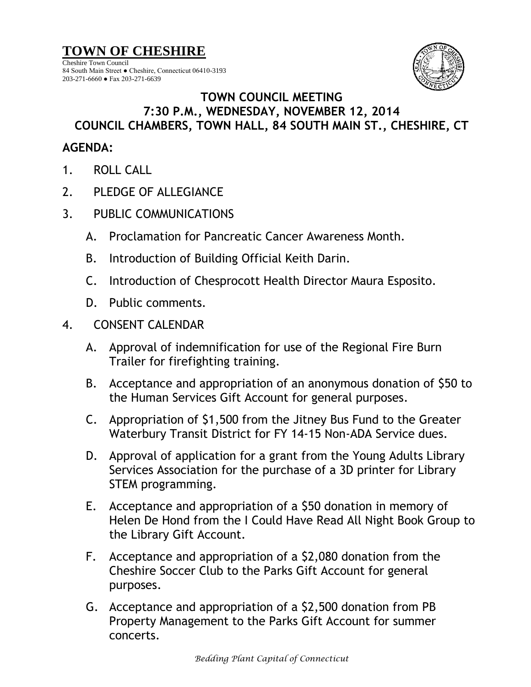**TOWN OF CHESHIRE**

Cheshire Town Council 84 South Main Street ● Cheshire, Connecticut 06410-3193 203-271-6660 ● Fax 203-271-6639



## **TOWN COUNCIL MEETING 7:30 P.M., WEDNESDAY, NOVEMBER 12, 2014 COUNCIL CHAMBERS, TOWN HALL, 84 SOUTH MAIN ST., CHESHIRE, CT**

## **AGENDA:**

- 1. ROLL CALL
- 2. PLEDGE OF ALLEGIANCE
- 3. PUBLIC COMMUNICATIONS
	- A. Proclamation for Pancreatic Cancer Awareness Month.
	- B. Introduction of Building Official Keith Darin.
	- C. Introduction of Chesprocott Health Director Maura Esposito.
	- D. Public comments.
- 4. CONSENT CALENDAR
	- A. Approval of indemnification for use of the Regional Fire Burn Trailer for firefighting training.
	- B. Acceptance and appropriation of an anonymous donation of \$50 to the Human Services Gift Account for general purposes.
	- C. Appropriation of \$1,500 from the Jitney Bus Fund to the Greater Waterbury Transit District for FY 14-15 Non-ADA Service dues.
	- D. Approval of application for a grant from the Young Adults Library Services Association for the purchase of a 3D printer for Library STEM programming.
	- E. Acceptance and appropriation of a \$50 donation in memory of Helen De Hond from the I Could Have Read All Night Book Group to the Library Gift Account.
	- F. Acceptance and appropriation of a \$2,080 donation from the Cheshire Soccer Club to the Parks Gift Account for general purposes.
	- G. Acceptance and appropriation of a \$2,500 donation from PB Property Management to the Parks Gift Account for summer concerts.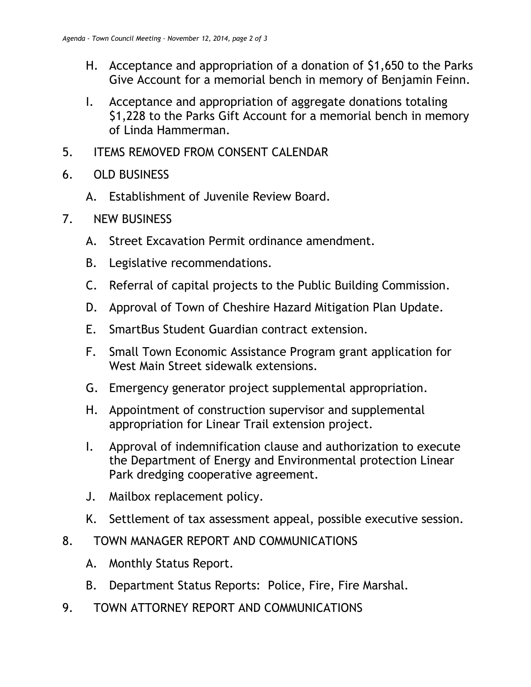- H. Acceptance and appropriation of a donation of \$1,650 to the Parks Give Account for a memorial bench in memory of Benjamin Feinn.
- I. Acceptance and appropriation of aggregate donations totaling \$1,228 to the Parks Gift Account for a memorial bench in memory of Linda Hammerman.
- 5. ITEMS REMOVED FROM CONSENT CALENDAR
- 6. OLD BUSINESS
	- A. Establishment of Juvenile Review Board.
- 7. NEW BUSINESS
	- A. Street Excavation Permit ordinance amendment.
	- B. Legislative recommendations.
	- C. Referral of capital projects to the Public Building Commission.
	- D. Approval of Town of Cheshire Hazard Mitigation Plan Update.
	- E. SmartBus Student Guardian contract extension.
	- F. Small Town Economic Assistance Program grant application for West Main Street sidewalk extensions.
	- G. Emergency generator project supplemental appropriation.
	- H. Appointment of construction supervisor and supplemental appropriation for Linear Trail extension project.
	- I. Approval of indemnification clause and authorization to execute the Department of Energy and Environmental protection Linear Park dredging cooperative agreement.
	- J. Mailbox replacement policy.
	- K. Settlement of tax assessment appeal, possible executive session.
- 8. TOWN MANAGER REPORT AND COMMUNICATIONS
	- A. Monthly Status Report.
	- B. Department Status Reports: Police, Fire, Fire Marshal.
- 9. TOWN ATTORNEY REPORT AND COMMUNICATIONS